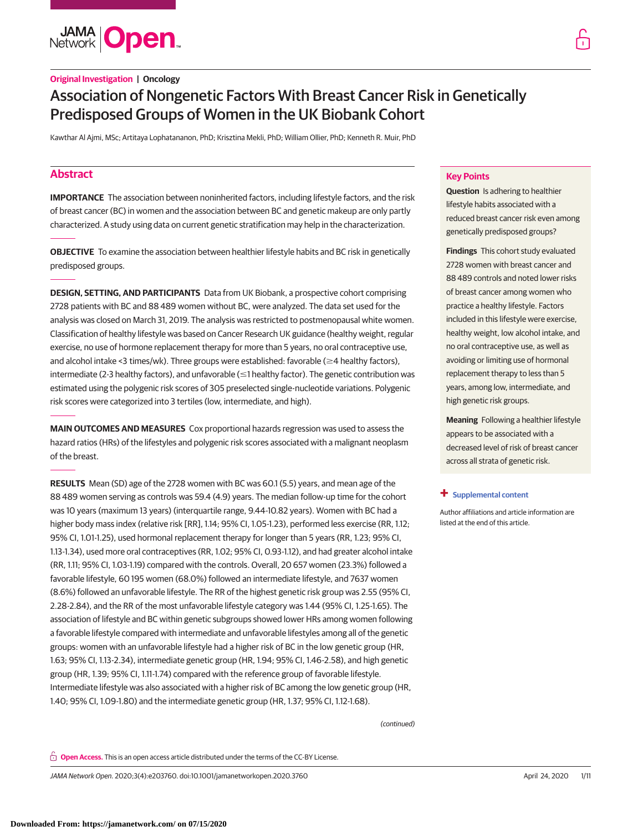**JAMA Open** 

# **Original Investigation | Oncology**

# Association of Nongenetic Factors With Breast Cancer Risk in Genetically Predisposed Groups of Women in the UK Biobank Cohort

Kawthar Al Ajmi, MSc; Artitaya Lophatananon, PhD; Krisztina Mekli, PhD; William Ollier, PhD; Kenneth R. Muir, PhD

# **Abstract**

**IMPORTANCE** The association between noninherited factors, including lifestyle factors, and the risk of breast cancer (BC) in women and the association between BC and genetic makeup are only partly characterized. A study using data on current genetic stratification may help in the characterization.

**OBJECTIVE** To examine the association between healthier lifestyle habits and BC risk in genetically predisposed groups.

**DESIGN, SETTING, AND PARTICIPANTS** Data from UK Biobank, a prospective cohort comprising 2728 patients with BC and 88 489 women without BC, were analyzed. The data set used for the analysis was closed on March 31, 2019. The analysis was restricted to postmenopausal white women. Classification of healthy lifestyle was based on Cancer Research UK guidance (healthy weight, regular exercise, no use of hormone replacement therapy for more than 5 years, no oral contraceptive use, and alcohol intake <3 times/wk). Three groups were established: favorable ( $\geq$ 4 healthy factors), intermediate (2-3 healthy factors), and unfavorable ( $\leq$ 1 healthy factor). The genetic contribution was estimated using the polygenic risk scores of 305 preselected single-nucleotide variations. Polygenic risk scores were categorized into 3 tertiles (low, intermediate, and high).

**MAIN OUTCOMES AND MEASURES** Cox proportional hazards regression was used to assess the hazard ratios (HRs) of the lifestyles and polygenic risk scores associated with a malignant neoplasm of the breast.

**RESULTS** Mean (SD) age of the 2728 women with BC was 60.1 (5.5) years, and mean age of the 88 489 women serving as controls was 59.4 (4.9) years. The median follow-up time for the cohort was 10 years (maximum 13 years) (interquartile range, 9.44-10.82 years). Women with BC had a higher body mass index (relative risk [RR], 1.14; 95% CI, 1.05-1.23), performed less exercise (RR, 1.12; 95% CI, 1.01-1.25), used hormonal replacement therapy for longer than 5 years (RR, 1.23; 95% CI, 1.13-1.34), used more oral contraceptives (RR, 1.02; 95% CI, 0.93-1.12), and had greater alcohol intake (RR, 1.11; 95% CI, 1.03-1.19) compared with the controls. Overall, 20 657 women (23.3%) followed a favorable lifestyle, 60 195 women (68.0%) followed an intermediate lifestyle, and 7637 women (8.6%) followed an unfavorable lifestyle. The RR of the highest genetic risk group was 2.55 (95% CI, 2.28-2.84), and the RR of the most unfavorable lifestyle category was 1.44 (95% CI, 1.25-1.65). The association of lifestyle and BC within genetic subgroups showed lower HRs among women following a favorable lifestyle compared with intermediate and unfavorable lifestyles among all of the genetic groups: women with an unfavorable lifestyle had a higher risk of BC in the low genetic group (HR, 1.63; 95% CI, 1.13-2.34), intermediate genetic group (HR, 1.94; 95% CI, 1.46-2.58), and high genetic group (HR, 1.39; 95% CI, 1.11-1.74) compared with the reference group of favorable lifestyle. Intermediate lifestyle was also associated with a higher risk of BC among the low genetic group (HR, 1.40; 95% CI, 1.09-1.80) and the intermediate genetic group (HR, 1.37; 95% CI, 1.12-1.68).

(continued)

**Open Access.** This is an open access article distributed under the terms of the CC-BY License.

JAMA Network Open. 2020;3(4):e203760. doi:10.1001/jamanetworkopen.2020.3760 (Reprinted) April 24, 2020 1/11

### **Key Points**

**Question** Is adhering to healthier lifestyle habits associated with a reduced breast cancer risk even among genetically predisposed groups?

**Findings** This cohort study evaluated 2728 women with breast cancer and 88 489 controls and noted lower risks of breast cancer among women who practice a healthy lifestyle. Factors included in this lifestyle were exercise, healthy weight, low alcohol intake, and no oral contraceptive use, as well as avoiding or limiting use of hormonal replacement therapy to less than 5 years, among low, intermediate, and high genetic risk groups.

**Meaning** Following a healthier lifestyle appears to be associated with a decreased level of risk of breast cancer across all strata of genetic risk.

#### **+ [Supplemental content](https://jama.jamanetwork.com/article.aspx?doi=10.1001/jamanetworkopen.2020.3760&utm_campaign=articlePDF%26utm_medium=articlePDFlink%26utm_source=articlePDF%26utm_content=jamanetworkopen.2020.3760)**

Author affiliations and article information are listed at the end of this article.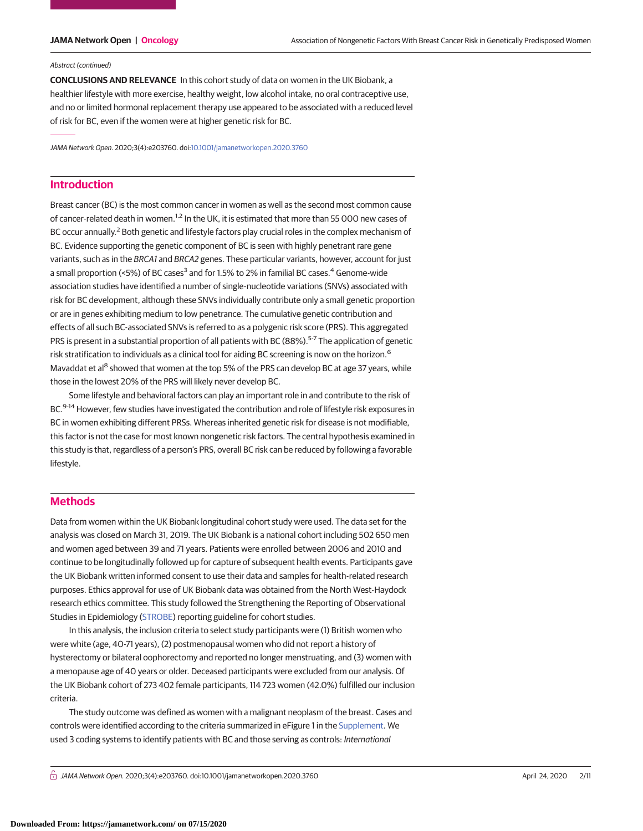#### Abstract (continued)

**CONCLUSIONS AND RELEVANCE** In this cohort study of data on women in the UK Biobank, a healthier lifestyle with more exercise, healthy weight, low alcohol intake, no oral contraceptive use, and no or limited hormonal replacement therapy use appeared to be associated with a reduced level of risk for BC, even if the women were at higher genetic risk for BC.

JAMA Network Open. 2020;3(4):e203760. doi[:10.1001/jamanetworkopen.2020.3760](https://jama.jamanetwork.com/article.aspx?doi=10.1001/jamanetworkopen.2020.3760&utm_campaign=articlePDF%26utm_medium=articlePDFlink%26utm_source=articlePDF%26utm_content=jamanetworkopen.2020.3760)

## **Introduction**

Breast cancer (BC) is the most common cancer in women as well as the second most common cause of cancer-related death in women.<sup>1,2</sup> In the UK, it is estimated that more than 55 000 new cases of BC occur annually.<sup>2</sup> Both genetic and lifestyle factors play crucial roles in the complex mechanism of BC. Evidence supporting the genetic component of BC is seen with highly penetrant rare gene variants, such as in the BRCA1 and BRCA2 genes. These particular variants, however, account for just a small proportion (<5%) of BC cases<sup>3</sup> and for 1.5% to 2% in familial BC cases.<sup>4</sup> Genome-wide association studies have identified a number of single-nucleotide variations (SNVs) associated with risk for BC development, although these SNVs individually contribute only a small genetic proportion or are in genes exhibiting medium to low penetrance. The cumulative genetic contribution and effects of all such BC-associated SNVs is referred to as a polygenic risk score (PRS). This aggregated PRS is present in a substantial proportion of all patients with BC (88%).<sup>5-7</sup> The application of genetic risk stratification to individuals as a clinical tool for aiding BC screening is now on the horizon.<sup>6</sup> Mavaddat et al<sup>8</sup> showed that women at the top 5% of the PRS can develop BC at age 37 years, while those in the lowest 20% of the PRS will likely never develop BC.

Some lifestyle and behavioral factors can play an important role in and contribute to the risk of BC.<sup>9-14</sup> However, few studies have investigated the contribution and role of lifestyle risk exposures in BC in women exhibiting different PRSs. Whereas inherited genetic risk for disease is not modifiable, this factor is not the case for most known nongenetic risk factors. The central hypothesis examined in this study is that, regardless of a person's PRS, overall BC risk can be reduced by following a favorable lifestyle.

### **Methods**

Data from women within the UK Biobank longitudinal cohort study were used. The data set for the analysis was closed on March 31, 2019. The UK Biobank is a national cohort including 502 650 men and women aged between 39 and 71 years. Patients were enrolled between 2006 and 2010 and continue to be longitudinally followed up for capture of subsequent health events. Participants gave the UK Biobank written informed consent to use their data and samples for health-related research purposes. Ethics approval for use of UK Biobank data was obtained from the North West-Haydock research ethics committee. This study followed the Strengthening the Reporting of Observational Studies in Epidemiology [\(STROBE\)](https://www.equator-network.org/reporting-guidelines/strobe/) reporting guideline for cohort studies.

In this analysis, the inclusion criteria to select study participants were (1) British women who were white (age, 40-71 years), (2) postmenopausal women who did not report a history of hysterectomy or bilateral oophorectomy and reported no longer menstruating, and (3) women with a menopause age of 40 years or older. Deceased participants were excluded from our analysis. Of the UK Biobank cohort of 273 402 female participants, 114 723 women (42.0%) fulfilled our inclusion criteria.

The study outcome was defined as women with a malignant neoplasm of the breast. Cases and controls were identified according to the criteria summarized in eFigure 1 in the [Supplement.](https://jama.jamanetwork.com/article.aspx?doi=10.1001/jamanetworkopen.2020.3760&utm_campaign=articlePDF%26utm_medium=articlePDFlink%26utm_source=articlePDF%26utm_content=jamanetworkopen.2020.3760) We used 3 coding systems to identify patients with BC and those serving as controls: International

 $\bigcap$  JAMA Network Open. 2020;3(4):e203760. doi:10.1001/jamanetworkopen.2020.3760 (April 24, 2020 2/11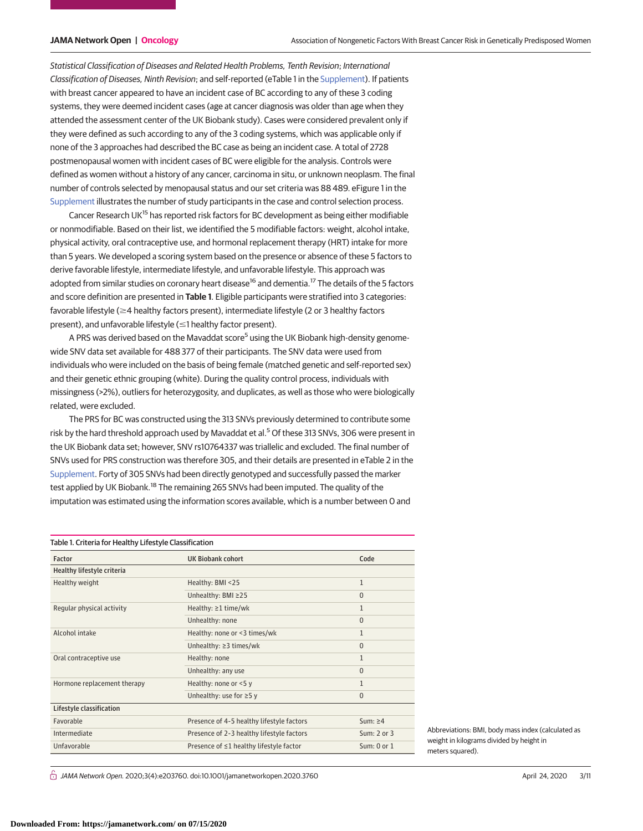Statistical Classification of Diseases and Related Health Problems, Tenth Revision; International Classification of Diseases, Ninth Revision; and self-reported (eTable 1 in the [Supplement\)](https://jama.jamanetwork.com/article.aspx?doi=10.1001/jamanetworkopen.2020.3760&utm_campaign=articlePDF%26utm_medium=articlePDFlink%26utm_source=articlePDF%26utm_content=jamanetworkopen.2020.3760). If patients with breast cancer appeared to have an incident case of BC according to any of these 3 coding systems, they were deemed incident cases (age at cancer diagnosis was older than age when they attended the assessment center of the UK Biobank study). Cases were considered prevalent only if they were defined as such according to any of the 3 coding systems, which was applicable only if none of the 3 approaches had described the BC case as being an incident case. A total of 2728 postmenopausal women with incident cases of BC were eligible for the analysis. Controls were defined as women without a history of any cancer, carcinoma in situ, or unknown neoplasm. The final number of controls selected by menopausal status and our set criteria was 88 489. eFigure 1 in the [Supplement](https://jama.jamanetwork.com/article.aspx?doi=10.1001/jamanetworkopen.2020.3760&utm_campaign=articlePDF%26utm_medium=articlePDFlink%26utm_source=articlePDF%26utm_content=jamanetworkopen.2020.3760) illustrates the number of study participants in the case and control selection process.

Cancer Research UK<sup>15</sup> has reported risk factors for BC development as being either modifiable or nonmodifiable. Based on their list, we identified the 5 modifiable factors: weight, alcohol intake, physical activity, oral contraceptive use, and hormonal replacement therapy (HRT) intake for more than 5 years. We developed a scoring system based on the presence or absence of these 5 factors to derive favorable lifestyle, intermediate lifestyle, and unfavorable lifestyle. This approach was adopted from similar studies on coronary heart disease<sup>16</sup> and dementia.<sup>17</sup> The details of the 5 factors and score definition are presented in **Table 1**. Eligible participants were stratified into 3 categories: favorable lifestyle ( $\geq$ 4 healthy factors present), intermediate lifestyle (2 or 3 healthy factors present), and unfavorable lifestyle ( $\leq$ 1 healthy factor present).

A PRS was derived based on the Mavaddat score<sup>5</sup> using the UK Biobank high-density genomewide SNV data set available for 488 377 of their participants. The SNV data were used from individuals who were included on the basis of being female (matched genetic and self-reported sex) and their genetic ethnic grouping (white). During the quality control process, individuals with missingness (>2%), outliers for heterozygosity, and duplicates, as well as those who were biologically related, were excluded.

The PRS for BC was constructed using the 313 SNVs previously determined to contribute some risk by the hard threshold approach used by Mavaddat et al.<sup>5</sup> Of these 313 SNVs, 306 were present in the UK Biobank data set; however, SNV rs10764337 was triallelic and excluded. The final number of SNVs used for PRS construction was therefore 305, and their details are presented in eTable 2 in the [Supplement.](https://jama.jamanetwork.com/article.aspx?doi=10.1001/jamanetworkopen.2020.3760&utm_campaign=articlePDF%26utm_medium=articlePDFlink%26utm_source=articlePDF%26utm_content=jamanetworkopen.2020.3760) Forty of 305 SNVs had been directly genotyped and successfully passed the marker test applied by UK Biobank.<sup>18</sup> The remaining 265 SNVs had been imputed. The quality of the imputation was estimated using the information scores available, which is a number between 0 and

| Table 1. Criteria for Healthy Lifestyle Classification |                                           |               |  |  |
|--------------------------------------------------------|-------------------------------------------|---------------|--|--|
| Factor                                                 | <b>UK Biobank cohort</b>                  | Code          |  |  |
| Healthy lifestyle criteria                             |                                           |               |  |  |
| Healthy weight                                         | Healthy: BMI <25                          | $\mathbf{1}$  |  |  |
|                                                        | Unhealthy: BMI ≥25                        | $\Omega$      |  |  |
| Regular physical activity                              | Healthy: $\geq 1$ time/wk                 | $\mathbf{1}$  |  |  |
|                                                        | Unhealthy: none                           | $\Omega$      |  |  |
| Alcohol intake                                         | Healthy: none or <3 times/wk              | $\mathbf{1}$  |  |  |
|                                                        | Unhealthy: $\geq$ 3 times/wk              | $\Omega$      |  |  |
| Oral contraceptive use                                 | Healthy: none                             | 1             |  |  |
|                                                        | Unhealthy: any use                        | $\Omega$      |  |  |
| Hormone replacement therapy                            | Healthy: none or <5 y                     | 1             |  |  |
|                                                        | Unhealthy: use for $\geq$ 5 y             | $\Omega$      |  |  |
| Lifestyle classification                               |                                           |               |  |  |
| Favorable                                              | Presence of 4-5 healthy lifestyle factors | $Sum: \geq 4$ |  |  |
| Intermediate                                           | Presence of 2-3 healthy lifestyle factors | Sum: 2 or 3   |  |  |
| Unfavorable                                            | Presence of ≤1 healthy lifestyle factor   | Sum: 0 or 1   |  |  |

Abbreviations: BMI, body mass index (calculated as weight in kilograms divided by height in meters squared).

 $\stackrel{\frown}{\Box}$  JAMA Network Open. 2020;3(4):e203760. doi:10.1001/jamanetworkopen.2020.3760 (Reprinted) April 24, 2020 3/11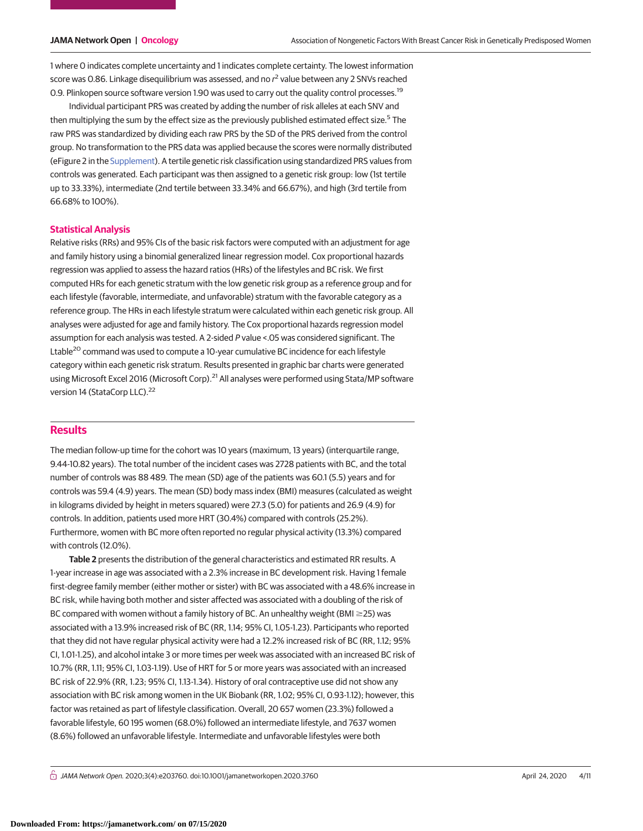1 where 0 indicates complete uncertainty and 1 indicates complete certainty. The lowest information score was 0.86. Linkage disequilibrium was assessed, and no  $r^2$  value between any 2 SNVs reached 0.9. Plinkopen source software version 1.90 was used to carry out the quality control processes.<sup>19</sup>

Individual participant PRS was created by adding the number of risk alleles at each SNV and then multiplying the sum by the effect size as the previously published estimated effect size.<sup>5</sup> The raw PRS was standardized by dividing each raw PRS by the SD of the PRS derived from the control group. No transformation to the PRS data was applied because the scores were normally distributed (eFigure 2 in the [Supplement\)](https://jama.jamanetwork.com/article.aspx?doi=10.1001/jamanetworkopen.2020.3760&utm_campaign=articlePDF%26utm_medium=articlePDFlink%26utm_source=articlePDF%26utm_content=jamanetworkopen.2020.3760). A tertile genetic risk classification using standardized PRS values from controls was generated. Each participant was then assigned to a genetic risk group: low (1st tertile up to 33.33%), intermediate (2nd tertile between 33.34% and 66.67%), and high (3rd tertile from 66.68% to 100%).

#### **Statistical Analysis**

Relative risks (RRs) and 95% CIs of the basic risk factors were computed with an adjustment for age and family history using a binomial generalized linear regression model. Cox proportional hazards regression was applied to assess the hazard ratios (HRs) of the lifestyles and BC risk. We first computed HRs for each genetic stratum with the low genetic risk group as a reference group and for each lifestyle (favorable, intermediate, and unfavorable) stratum with the favorable category as a reference group. The HRs in each lifestyle stratum were calculated within each genetic risk group. All analyses were adjusted for age and family history. The Cox proportional hazards regression model assumption for each analysis was tested. A 2-sided P value <.05 was considered significant. The Ltable<sup>20</sup> command was used to compute a 10-year cumulative BC incidence for each lifestyle category within each genetic risk stratum. Results presented in graphic bar charts were generated using Microsoft Excel 2016 (Microsoft Corp).<sup>21</sup> All analyses were performed using Stata/MP software version 14 (StataCorp LLC).<sup>22</sup>

#### **Results**

The median follow-up time for the cohort was 10 years (maximum, 13 years) (interquartile range, 9.44-10.82 years). The total number of the incident cases was 2728 patients with BC, and the total number of controls was 88 489. The mean (SD) age of the patients was 60.1 (5.5) years and for controls was 59.4 (4.9) years. The mean (SD) body mass index (BMI) measures (calculated as weight in kilograms divided by height in meters squared) were 27.3 (5.0) for patients and 26.9 (4.9) for controls. In addition, patients used more HRT (30.4%) compared with controls (25.2%). Furthermore, women with BC more often reported no regular physical activity (13.3%) compared with controls (12.0%).

**Table 2** presents the distribution of the general characteristics and estimated RR results. A 1-year increase in age was associated with a 2.3% increase in BC development risk. Having 1 female first-degree family member (either mother or sister) with BC was associated with a 48.6% increase in BC risk, while having both mother and sister affected was associated with a doubling of the risk of BC compared with women without a family history of BC. An unhealthy weight (BMI  $\geq$ 25) was associated with a 13.9% increased risk of BC (RR, 1.14; 95% CI, 1.05-1.23). Participants who reported that they did not have regular physical activity were had a 12.2% increased risk of BC (RR, 1.12; 95% CI, 1.01-1.25), and alcohol intake 3 or more times per week was associated with an increased BC risk of 10.7% (RR, 1.11; 95% CI, 1.03-1.19). Use of HRT for 5 or more years was associated with an increased BC risk of 22.9% (RR, 1.23; 95% CI, 1.13-1.34). History of oral contraceptive use did not show any association with BC risk among women in the UK Biobank (RR, 1.02; 95% CI, 0.93-1.12); however, this factor was retained as part of lifestyle classification. Overall, 20 657 women (23.3%) followed a favorable lifestyle, 60 195 women (68.0%) followed an intermediate lifestyle, and 7637 women (8.6%) followed an unfavorable lifestyle. Intermediate and unfavorable lifestyles were both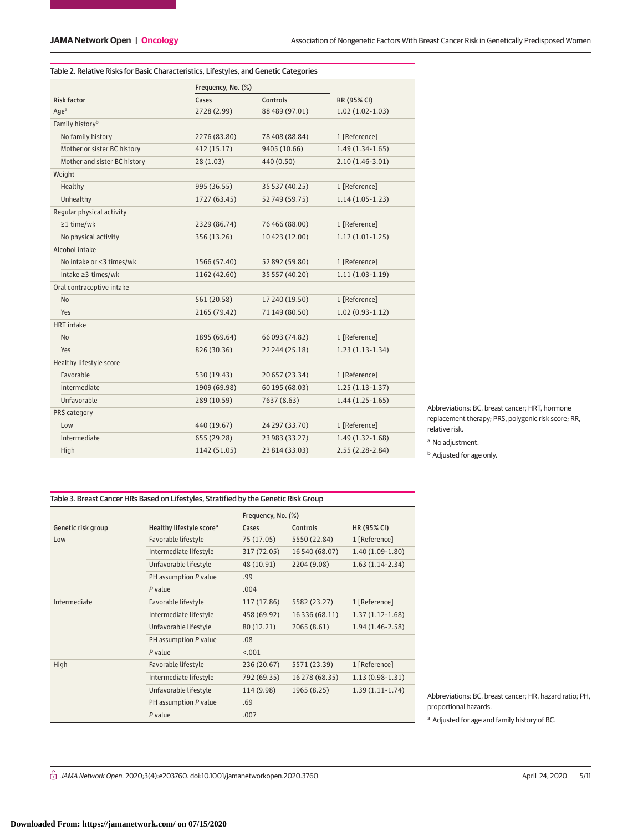L

| Table 2. Relative Risks for Basic Characteristics, Lifestyles, and Genetic Categories |                    |                |                     |  |  |  |
|---------------------------------------------------------------------------------------|--------------------|----------------|---------------------|--|--|--|
|                                                                                       | Frequency, No. (%) |                |                     |  |  |  |
| <b>Risk factor</b>                                                                    | Cases              | Controls       | RR (95% CI)         |  |  |  |
| Aqe <sup>a</sup>                                                                      | 2728 (2.99)        | 88 489 (97.01) | $1.02(1.02 - 1.03)$ |  |  |  |
| Family history <sup>b</sup>                                                           |                    |                |                     |  |  |  |
| No family history                                                                     | 2276 (83.80)       | 78 408 (88.84) | 1 [Reference]       |  |  |  |
| Mother or sister BC history                                                           | 412 (15.17)        | 9405 (10.66)   | $1.49(1.34-1.65)$   |  |  |  |
| Mother and sister BC history                                                          | 28(1.03)           | 440 (0.50)     | $2.10(1.46-3.01)$   |  |  |  |
| Weight                                                                                |                    |                |                     |  |  |  |
| Healthy                                                                               | 995 (36.55)        | 35 537 (40.25) | 1 [Reference]       |  |  |  |
| Unhealthy                                                                             | 1727 (63.45)       | 52749 (59.75)  | $1.14(1.05-1.23)$   |  |  |  |
| Regular physical activity                                                             |                    |                |                     |  |  |  |
| $\geq$ 1 time/wk                                                                      | 2329 (86.74)       | 76 466 (88.00) | 1 [Reference]       |  |  |  |
| No physical activity                                                                  | 356 (13.26)        | 10 423 (12.00) | $1.12(1.01-1.25)$   |  |  |  |
| Alcohol intake                                                                        |                    |                |                     |  |  |  |
| No intake or <3 times/wk                                                              | 1566 (57.40)       | 52 892 (59.80) | 1 [Reference]       |  |  |  |
| Intake ≥3 times/wk                                                                    | 1162 (42.60)       | 35 557 (40.20) | $1.11(1.03-1.19)$   |  |  |  |
| Oral contraceptive intake                                                             |                    |                |                     |  |  |  |
| <b>No</b>                                                                             | 561 (20.58)        | 17 240 (19.50) | 1 [Reference]       |  |  |  |
| Yes                                                                                   | 2165 (79.42)       | 71 149 (80.50) | $1.02(0.93-1.12)$   |  |  |  |
| <b>HRT</b> intake                                                                     |                    |                |                     |  |  |  |
| <b>No</b>                                                                             | 1895 (69.64)       | 66 093 (74.82) | 1 [Reference]       |  |  |  |
| Yes                                                                                   | 826 (30.36)        | 22 244 (25.18) | $1.23(1.13-1.34)$   |  |  |  |
| Healthy lifestyle score                                                               |                    |                |                     |  |  |  |
| Favorable                                                                             | 530 (19.43)        | 20 657 (23.34) | 1 [Reference]       |  |  |  |
| Intermediate                                                                          | 1909 (69.98)       | 60 195 (68.03) | $1.25(1.13-1.37)$   |  |  |  |
| Unfavorable                                                                           | 289 (10.59)        | 7637 (8.63)    | $1.44(1.25-1.65)$   |  |  |  |
| PRS category                                                                          |                    |                |                     |  |  |  |
| Low                                                                                   | 440 (19.67)        | 24 297 (33.70) | 1 [Reference]       |  |  |  |
| Intermediate                                                                          | 655 (29.28)        | 23 983 (33.27) | $1.49(1.32-1.68)$   |  |  |  |
| High                                                                                  | 1142 (51.05)       | 23 814 (33.03) | $2.55(2.28-2.84)$   |  |  |  |

Abbreviations: BC, breast cancer; HRT, hormone replacement therapy; PRS, polygenic risk score; RR, relative risk.

**b** Adjusted for age only.

#### Table 3. Breast Cancer HRs Based on Lifestyles, Stratified by the Genetic Risk Group

|                    |                                      | Frequency, No. (%) |                |                   |
|--------------------|--------------------------------------|--------------------|----------------|-------------------|
| Genetic risk group | Healthy lifestyle score <sup>a</sup> | Cases              | Controls       | HR (95% CI)       |
| Low                | Favorable lifestyle                  | 75 (17.05)         | 5550 (22.84)   | 1 [Reference]     |
|                    | Intermediate lifestyle               | 317 (72.05)        | 16 540 (68.07) | $1.40(1.09-1.80)$ |
|                    | Unfavorable lifestyle                | 48 (10.91)         | 2204 (9.08)    | $1.63(1.14-2.34)$ |
|                    | PH assumption P value                | .99                |                |                   |
|                    | P value                              | .004               |                |                   |
| Intermediate       | Favorable lifestyle                  | 117 (17.86)        | 5582 (23.27)   | 1 [Reference]     |
|                    | Intermediate lifestyle               | 458 (69.92)        | 16 336 (68.11) | $1.37(1.12-1.68)$ |
|                    | Unfavorable lifestyle                | 80 (12.21)         | 2065 (8.61)    | $1.94(1.46-2.58)$ |
|                    | PH assumption P value                | .08                |                |                   |
|                    | P value                              | < .001             |                |                   |
| High               | Favorable lifestyle                  | 236 (20.67)        | 5571 (23.39)   | 1 [Reference]     |
|                    | Intermediate lifestyle               | 792 (69.35)        | 16 278 (68.35) | $1.13(0.98-1.31)$ |
|                    | Unfavorable lifestyle                | 114 (9.98)         | 1965 (8.25)    | $1.39(1.11-1.74)$ |
|                    | PH assumption P value                | .69                |                |                   |
|                    | P value                              | .007               |                |                   |

Abbreviations: BC, breast cancer; HR, hazard ratio; PH, proportional hazards.

<sup>a</sup> Adjusted for age and family history of BC.

 $G$  JAMA Network Open. 2020;3(4):e203760. doi:10.1001/jamanetworkopen.2020.3760 (Reprinted) April 24, 2020 5/11

<sup>a</sup> No adjustment.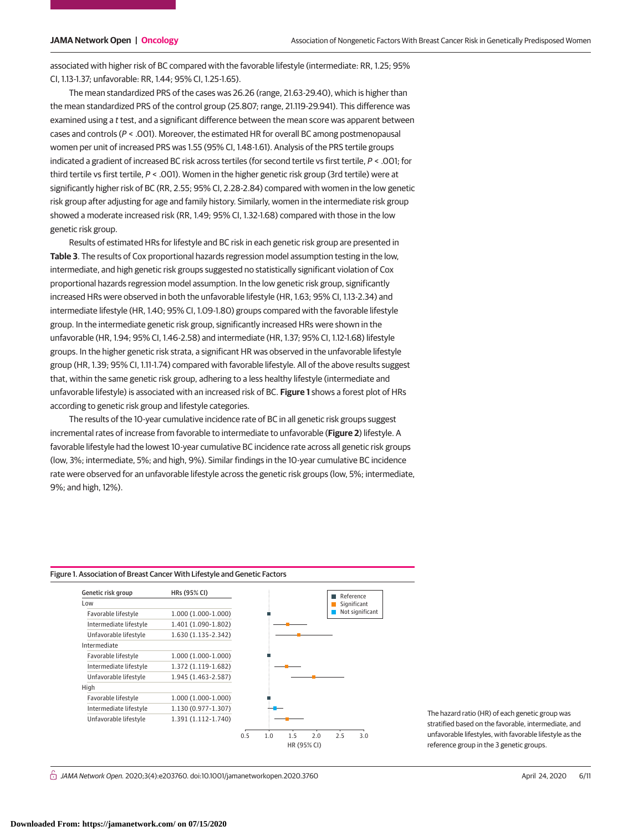associated with higher risk of BC compared with the favorable lifestyle (intermediate: RR, 1.25; 95% CI, 1.13-1.37; unfavorable: RR, 1.44; 95% CI, 1.25-1.65).

The mean standardized PRS of the cases was 26.26 (range, 21.63-29.40), which is higher than the mean standardized PRS of the control group (25.807; range, 21.119-29.941). This difference was examined using a t test, and a significant difference between the mean score was apparent between cases and controls ( $P < .001$ ). Moreover, the estimated HR for overall BC among postmenopausal women per unit of increased PRS was 1.55 (95% CI, 1.48-1.61). Analysis of the PRS tertile groups indicated a gradient of increased BC risk across tertiles (for second tertile vs first tertile, P < .001; for third tertile vs first tertile, P < .001). Women in the higher genetic risk group (3rd tertile) were at significantly higher risk of BC (RR, 2.55; 95% CI, 2.28-2.84) compared with women in the low genetic risk group after adjusting for age and family history. Similarly, women in the intermediate risk group showed a moderate increased risk (RR, 1.49; 95% CI, 1.32-1.68) compared with those in the low genetic risk group.

Results of estimated HRs for lifestyle and BC risk in each genetic risk group are presented in **Table 3**. The results of Cox proportional hazards regression model assumption testing in the low, intermediate, and high genetic risk groups suggested no statistically significant violation of Cox proportional hazards regression model assumption. In the low genetic risk group, significantly increased HRs were observed in both the unfavorable lifestyle (HR, 1.63; 95% CI, 1.13-2.34) and intermediate lifestyle (HR, 1.40; 95% CI, 1.09-1.80) groups compared with the favorable lifestyle group. In the intermediate genetic risk group, significantly increased HRs were shown in the unfavorable (HR, 1.94; 95% CI, 1.46-2.58) and intermediate (HR, 1.37; 95% CI, 1.12-1.68) lifestyle groups. In the higher genetic risk strata, a significant HR was observed in the unfavorable lifestyle group (HR, 1.39; 95% CI, 1.11-1.74) compared with favorable lifestyle. All of the above results suggest that, within the same genetic risk group, adhering to a less healthy lifestyle (intermediate and unfavorable lifestyle) is associated with an increased risk of BC. **Figure 1** shows a forest plot of HRs according to genetic risk group and lifestyle categories.

The results of the 10-year cumulative incidence rate of BC in all genetic risk groups suggest incremental rates of increase from favorable to intermediate to unfavorable (**Figure 2**) lifestyle. A favorable lifestyle had the lowest 10-year cumulative BC incidence rate across all genetic risk groups (low, 3%; intermediate, 5%; and high, 9%). Similar findings in the 10-year cumulative BC incidence rate were observed for an unfavorable lifestyle across the genetic risk groups (low, 5%; intermediate, 9%; and high, 12%).

#### Figure 1. Association of Breast Cancer With Lifestyle and Genetic Factors



The hazard ratio (HR) of each genetic group was stratified based on the favorable, intermediate, and unfavorable lifestyles, with favorable lifestyle as the reference group in the 3 genetic groups.

 $\stackrel{\frown}{\Box}$  JAMA Network Open. 2020;3(4):e203760. doi:10.1001/jamanetworkopen.2020.3760 (Reprinted) April 24, 2020 6/11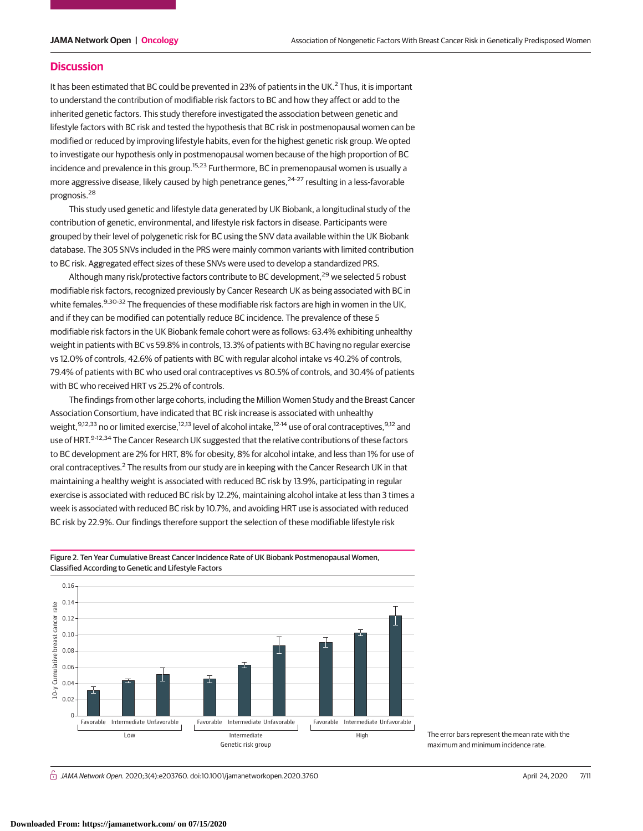#### **Discussion**

It has been estimated that BC could be prevented in 23% of patients in the UK.<sup>2</sup> Thus, it is important to understand the contribution of modifiable risk factors to BC and how they affect or add to the inherited genetic factors. This study therefore investigated the association between genetic and lifestyle factors with BC risk and tested the hypothesis that BC risk in postmenopausal women can be modified or reduced by improving lifestyle habits, even for the highest genetic risk group. We opted to investigate our hypothesis only in postmenopausal women because of the high proportion of BC incidence and prevalence in this group.<sup>15,23</sup> Furthermore, BC in premenopausal women is usually a more aggressive disease, likely caused by high penetrance genes,<sup>24-27</sup> resulting in a less-favorable prognosis.<sup>28</sup>

This study used genetic and lifestyle data generated by UK Biobank, a longitudinal study of the contribution of genetic, environmental, and lifestyle risk factors in disease. Participants were grouped by their level of polygenetic risk for BC using the SNV data available within the UK Biobank database. The 305 SNVs included in the PRS were mainly common variants with limited contribution to BC risk. Aggregated effect sizes of these SNVs were used to develop a standardized PRS.

Although many risk/protective factors contribute to BC development, $^{29}$  we selected 5 robust modifiable risk factors, recognized previously by Cancer Research UK as being associated with BC in white females.<sup>9,30-32</sup> The frequencies of these modifiable risk factors are high in women in the UK, and if they can be modified can potentially reduce BC incidence. The prevalence of these 5 modifiable risk factors in the UK Biobank female cohort were as follows: 63.4% exhibiting unhealthy weight in patients with BC vs 59.8% in controls, 13.3% of patients with BC having no regular exercise vs 12.0% of controls, 42.6% of patients with BC with regular alcohol intake vs 40.2% of controls, 79.4% of patients with BC who used oral contraceptives vs 80.5% of controls, and 30.4% of patients with BC who received HRT vs 25.2% of controls.

The findings from other large cohorts, including the Million Women Study and the Breast Cancer Association Consortium, have indicated that BC risk increase is associated with unhealthy weight, 9,12,33 no or limited exercise, <sup>12,13</sup> level of alcohol intake, <sup>12-14</sup> use of oral contraceptives, <sup>9,12</sup> and use of HRT.<sup>9-12,34</sup> The Cancer Research UK suggested that the relative contributions of these factors to BC development are 2% for HRT, 8% for obesity, 8% for alcohol intake, and less than 1% for use of oral contraceptives.<sup>2</sup> The results from our study are in keeping with the Cancer Research UK in that maintaining a healthy weight is associated with reduced BC risk by 13.9%, participating in regular exercise is associated with reduced BC risk by 12.2%, maintaining alcohol intake at less than 3 times a week is associated with reduced BC risk by 10.7%, and avoiding HRT use is associated with reduced BC risk by 22.9%. Our findings therefore support the selection of these modifiable lifestyle risk



Figure 2. Ten Year Cumulative Breast Cancer Incidence Rate of UK Biobank Postmenopausal Women, Classified According to Genetic and Lifestyle Factors

> The error bars represent the mean rate with the maximum and minimum incidence rate.

 $\stackrel{\frown}{\Box}$  JAMA Network Open. 2020;3(4):e203760. doi:10.1001/jamanetworkopen.2020.3760 (Reprinted) April 24, 2020 7/11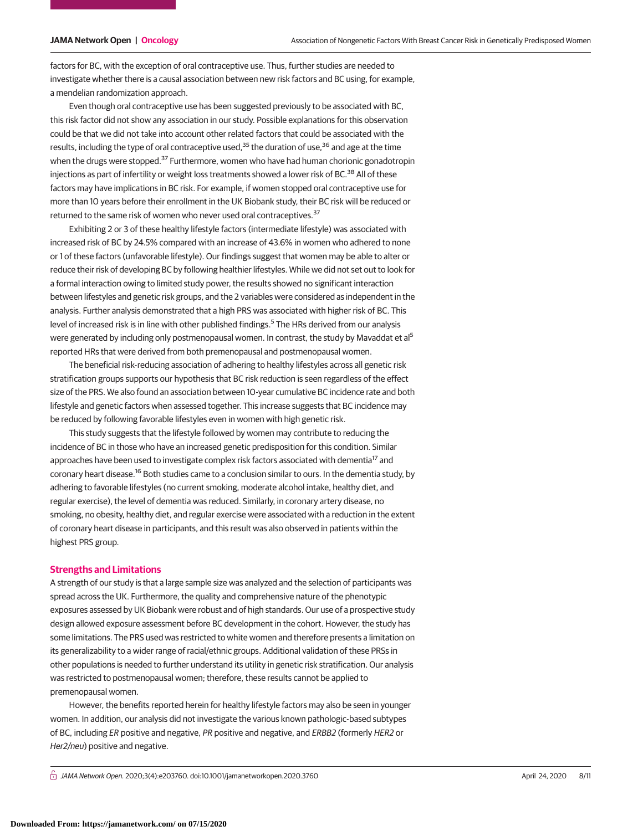factors for BC, with the exception of oral contraceptive use. Thus, further studies are needed to investigate whether there is a causal association between new risk factors and BC using, for example, a mendelian randomization approach.

Even though oral contraceptive use has been suggested previously to be associated with BC, this risk factor did not show any association in our study. Possible explanations for this observation could be that we did not take into account other related factors that could be associated with the results, including the type of oral contraceptive used.<sup>35</sup> the duration of use,<sup>36</sup> and age at the time when the drugs were stopped.<sup>37</sup> Furthermore, women who have had human chorionic gonadotropin injections as part of infertility or weight loss treatments showed a lower risk of BC.<sup>38</sup> All of these factors may have implications in BC risk. For example, if women stopped oral contraceptive use for more than 10 years before their enrollment in the UK Biobank study, their BC risk will be reduced or returned to the same risk of women who never used oral contraceptives.<sup>37</sup>

Exhibiting 2 or 3 of these healthy lifestyle factors (intermediate lifestyle) was associated with increased risk of BC by 24.5% compared with an increase of 43.6% in women who adhered to none or 1 of these factors (unfavorable lifestyle). Our findings suggest that women may be able to alter or reduce their risk of developing BC by following healthier lifestyles. While we did not set out to look for a formal interaction owing to limited study power, the results showed no significant interaction between lifestyles and genetic risk groups, and the 2 variables were considered as independent in the analysis. Further analysis demonstrated that a high PRS was associated with higher risk of BC. This level of increased risk is in line with other published findings.<sup>5</sup> The HRs derived from our analysis were generated by including only postmenopausal women. In contrast, the study by Mavaddat et al<sup>5</sup> reported HRs that were derived from both premenopausal and postmenopausal women.

The beneficial risk-reducing association of adhering to healthy lifestyles across all genetic risk stratification groups supports our hypothesis that BC risk reduction is seen regardless of the effect size of the PRS. We also found an association between 10-year cumulative BC incidence rate and both lifestyle and genetic factors when assessed together. This increase suggests that BC incidence may be reduced by following favorable lifestyles even in women with high genetic risk.

This study suggests that the lifestyle followed by women may contribute to reducing the incidence of BC in those who have an increased genetic predisposition for this condition. Similar approaches have been used to investigate complex risk factors associated with dementia<sup>17</sup> and coronary heart disease.<sup>16</sup> Both studies came to a conclusion similar to ours. In the dementia study, by adhering to favorable lifestyles (no current smoking, moderate alcohol intake, healthy diet, and regular exercise), the level of dementia was reduced. Similarly, in coronary artery disease, no smoking, no obesity, healthy diet, and regular exercise were associated with a reduction in the extent of coronary heart disease in participants, and this result was also observed in patients within the highest PRS group.

#### **Strengths and Limitations**

A strength of our study is that a large sample size was analyzed and the selection of participants was spread across the UK. Furthermore, the quality and comprehensive nature of the phenotypic exposures assessed by UK Biobank were robust and of high standards. Our use of a prospective study design allowed exposure assessment before BC development in the cohort. However, the study has some limitations. The PRS used was restricted to white women and therefore presents a limitation on its generalizability to a wider range of racial/ethnic groups. Additional validation of these PRSs in other populations is needed to further understand its utility in genetic risk stratification. Our analysis was restricted to postmenopausal women; therefore, these results cannot be applied to premenopausal women.

However, the benefits reported herein for healthy lifestyle factors may also be seen in younger women. In addition, our analysis did not investigate the various known pathologic-based subtypes of BC, including ER positive and negative, PR positive and negative, and ERBB2 (formerly HER2 or Her2/neu) positive and negative.

 $\bigcap$  JAMA Network Open. 2020;3(4):e203760. doi:10.1001/jamanetworkopen.2020.3760 (Reprinted) April 24, 2020 8/11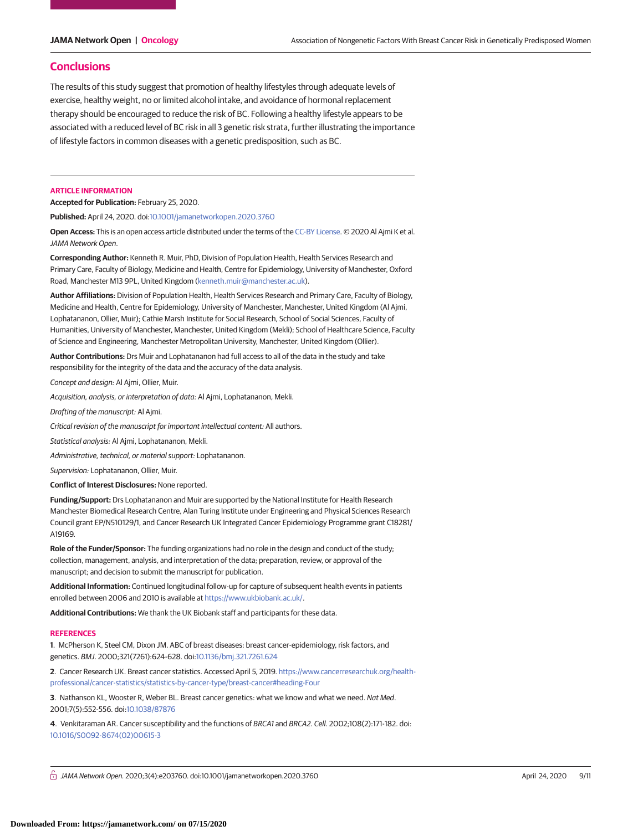### **Conclusions**

The results of this study suggest that promotion of healthy lifestyles through adequate levels of exercise, healthy weight, no or limited alcohol intake, and avoidance of hormonal replacement therapy should be encouraged to reduce the risk of BC. Following a healthy lifestyle appears to be associated with a reduced level of BC risk in all 3 genetic risk strata, further illustrating the importance of lifestyle factors in common diseases with a genetic predisposition, such as BC.

#### **ARTICLE INFORMATION**

**Accepted for Publication:** February 25, 2020.

**Published:** April 24, 2020. doi[:10.1001/jamanetworkopen.2020.3760](https://jama.jamanetwork.com/article.aspx?doi=10.1001/jamanetworkopen.2020.3760&utm_campaign=articlePDF%26utm_medium=articlePDFlink%26utm_source=articlePDF%26utm_content=jamanetworkopen.2020.3760)

**Open Access:** This is an open access article distributed under the terms of the [CC-BY License.](https://jamanetwork.com/journals/jamanetworkopen/pages/instructions-for-authors#SecOpenAccess/?utm_campaign=articlePDF%26utm_medium=articlePDFlink%26utm_source=articlePDF%26utm_content=jamanetworkopen.2020.3760) © 2020 Al Ajmi K et al. JAMA Network Open.

**Corresponding Author:** Kenneth R. Muir, PhD, Division of Population Health, Health Services Research and Primary Care, Faculty of Biology, Medicine and Health, Centre for Epidemiology, University of Manchester, Oxford Road, Manchester M13 9PL, United Kingdom [\(kenneth.muir@manchester.ac.uk\)](mailto:kenneth.muir@manchester.ac.uk).

**Author Affiliations:** Division of Population Health, Health Services Research and Primary Care, Faculty of Biology, Medicine and Health, Centre for Epidemiology, University of Manchester, Manchester, United Kingdom (Al Ajmi, Lophatananon, Ollier, Muir); Cathie Marsh Institute for Social Research, School of Social Sciences, Faculty of Humanities, University of Manchester, Manchester, United Kingdom (Mekli); School of Healthcare Science, Faculty of Science and Engineering, Manchester Metropolitan University, Manchester, United Kingdom (Ollier).

**Author Contributions:** Drs Muir and Lophatananon had full access to all of the data in the study and take responsibility for the integrity of the data and the accuracy of the data analysis.

Concept and design: Al Ajmi, Ollier, Muir.

Acquisition, analysis, or interpretation of data: Al Ajmi, Lophatananon, Mekli.

Drafting of the manuscript: Al Ajmi.

Critical revision of the manuscript for important intellectual content: All authors.

Statistical analysis: Al Ajmi, Lophatananon, Mekli.

Administrative, technical, or material support: Lophatananon.

Supervision: Lophatananon, Ollier, Muir.

**Conflict of Interest Disclosures:** None reported.

**Funding/Support:** Drs Lophatananon and Muir are supported by the National Institute for Health Research Manchester Biomedical Research Centre, Alan Turing Institute under Engineering and Physical Sciences Research Council grant EP/N510129/1, and Cancer Research UK Integrated Cancer Epidemiology Programme grant C18281/ A19169.

**Role of the Funder/Sponsor:** The funding organizations had no role in the design and conduct of the study; collection, management, analysis, and interpretation of the data; preparation, review, or approval of the manuscript; and decision to submit the manuscript for publication.

**Additional Information:** Continued longitudinal follow-up for capture of subsequent health events in patients enrolled between 2006 and 2010 is available at [https://www.ukbiobank.ac.uk/.](https://www.ukbiobank.ac.uk/)

**Additional Contributions:** We thank the UK Biobank staff and participants for these data.

#### **REFERENCES**

**1**. McPherson K, Steel CM, Dixon JM. ABC of breast diseases: breast cancer-epidemiology, risk factors, and genetics. BMJ. 2000;321(7261):624-628. doi[:10.1136/bmj.321.7261.624](https://dx.doi.org/10.1136/bmj.321.7261.624)

**2**. Cancer Research UK. Breast cancer statistics. Accessed April 5, 2019. [https://www.cancerresearchuk.org/health](https://www.cancerresearchuk.org/health-professional/cancer-statistics/statistics-by-cancer-type/breast-cancer#heading-Four)[professional/cancer-statistics/statistics-by-cancer-type/breast-cancer#heading-Four](https://www.cancerresearchuk.org/health-professional/cancer-statistics/statistics-by-cancer-type/breast-cancer#heading-Four)

**3**. Nathanson KL, Wooster R, Weber BL. Breast cancer genetics: what we know and what we need. Nat Med. 2001;7(5):552-556. doi[:10.1038/87876](https://dx.doi.org/10.1038/87876)

**4**. Venkitaraman AR. Cancer susceptibility and the functions of BRCA1 and BRCA2. Cell. 2002;108(2):171-182. doi: [10.1016/S0092-8674\(02\)00615-3](https://dx.doi.org/10.1016/S0092-8674(02)00615-3)

 $\bigcap$  JAMA Network Open. 2020;3(4):e203760. doi:10.1001/jamanetworkopen.2020.3760 (April 24, 2020 9/11 - April 24, 2020 9/11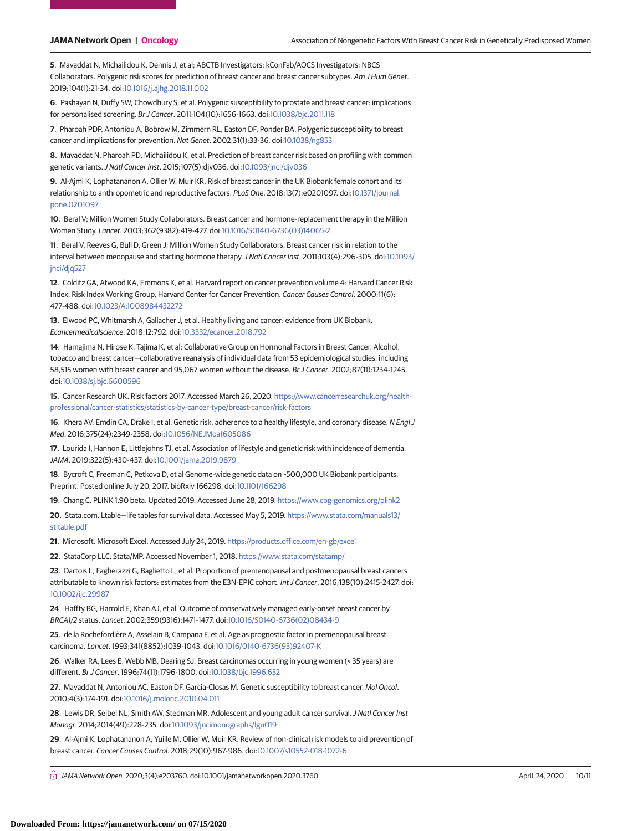**5**. Mavaddat N, Michailidou K, Dennis J, et al; ABCTB Investigators; kConFab/AOCS Investigators; NBCS Collaborators. Polygenic risk scores for prediction of breast cancer and breast cancer subtypes. Am J Hum Genet. 2019;104(1):21-34. doi[:10.1016/j.ajhg.2018.11.002](https://dx.doi.org/10.1016/j.ajhg.2018.11.002)

**6**. Pashayan N, Duffy SW, Chowdhury S, et al. Polygenic susceptibility to prostate and breast cancer: implications for personalised screening. Br J Cancer. 2011;104(10):1656-1663. doi[:10.1038/bjc.2011.118](https://dx.doi.org/10.1038/bjc.2011.118)

**7**. Pharoah PDP, Antoniou A, Bobrow M, Zimmern RL, Easton DF, Ponder BA. Polygenic susceptibility to breast cancer and implications for prevention. Nat Genet. 2002;31(1):33-36. doi[:10.1038/ng853](https://dx.doi.org/10.1038/ng853)

**8**. Mavaddat N, Pharoah PD, Michailidou K, et al. Prediction of breast cancer risk based on profiling with common genetic variants.J Natl Cancer Inst. 2015;107(5):djv036. doi[:10.1093/jnci/djv036](https://dx.doi.org/10.1093/jnci/djv036)

**9**. Al-Ajmi K, Lophatananon A, Ollier W, Muir KR. Risk of breast cancer in the UK Biobank female cohort and its relationship to anthropometric and reproductive factors. PLoS One. 2018;13(7):e0201097. doi[:10.1371/journal.](https://dx.doi.org/10.1371/journal.pone.0201097) [pone.0201097](https://dx.doi.org/10.1371/journal.pone.0201097)

**10**. Beral V; Million Women Study Collaborators. Breast cancer and hormone-replacement therapy in the Million Women Study. Lancet. 2003;362(9382):419-427. doi[:10.1016/S0140-6736\(03\)14065-2](https://dx.doi.org/10.1016/S0140-6736(03)14065-2)

**11**. Beral V, Reeves G, Bull D, Green J; Million Women Study Collaborators. Breast cancer risk in relation to the interval between menopause and starting hormone therapy.J Natl Cancer Inst. 2011;103(4):296-305. doi[:10.1093/](https://dx.doi.org/10.1093/jnci/djq527) [jnci/djq527](https://dx.doi.org/10.1093/jnci/djq527)

**12**. Colditz GA, Atwood KA, Emmons K, et al. Harvard report on cancer prevention volume 4: Harvard Cancer Risk Index, Risk Index Working Group, Harvard Center for Cancer Prevention. Cancer Causes Control. 2000;11(6): 477-488. doi[:10.1023/A:1008984432272](https://dx.doi.org/10.1023/A:1008984432272)

**13**. Elwood PC, Whitmarsh A, Gallacher J, et al. Healthy living and cancer: evidence from UK Biobank. Ecancermedicalscience. 2018;12:792. doi[:10.3332/ecancer.2018.792](https://dx.doi.org/10.3332/ecancer.2018.792)

**14**. Hamajima N, Hirose K, Tajima K, et al; Collaborative Group on Hormonal Factors in Breast Cancer. Alcohol, tobacco and breast cancer—collaborative reanalysis of individual data from 53 epidemiological studies, including 58,515 women with breast cancer and 95,067 women without the disease. Br J Cancer. 2002;87(11):1234-1245. doi[:10.1038/sj.bjc.6600596](https://dx.doi.org/10.1038/sj.bjc.6600596)

**15**. Cancer Research UK. Risk factors 2017. Accessed March 26, 2020. [https://www.cancerresearchuk.org/health](https://www.cancerresearchuk.org/health-professional/cancer-statistics/statistics-by-cancer-type/breast-cancer/risk-factors)[professional/cancer-statistics/statistics-by-cancer-type/breast-cancer/risk-factors](https://www.cancerresearchuk.org/health-professional/cancer-statistics/statistics-by-cancer-type/breast-cancer/risk-factors)

**16**. Khera AV, Emdin CA, Drake I, et al. Genetic risk, adherence to a healthy lifestyle, and coronary disease. N Engl J Med. 2016;375(24):2349-2358. doi[:10.1056/NEJMoa1605086](https://dx.doi.org/10.1056/NEJMoa1605086)

**17**. Lourida I, Hannon E, Littlejohns TJ, et al. Association of lifestyle and genetic risk with incidence of dementia. JAMA. 2019;322(5):430-437. doi[:10.1001/jama.2019.9879](https://jama.jamanetwork.com/article.aspx?doi=10.1001/jama.2019.9879&utm_campaign=articlePDF%26utm_medium=articlePDFlink%26utm_source=articlePDF%26utm_content=jamanetworkopen.2020.3760)

**18**. Bycroft C, Freeman C, Petkova D, et al Genome-wide genetic data on ~500,000 UK Biobank participants. Preprint. Posted online July 20, 2017. bioRxiv 166298. doi[:10.1101/166298](https://dx.doi.org/10.1101/166298)

**19**. Chang C. PLINK 1.90 beta. Updated 2019. Accessed June 28, 2019. <https://www.cog-genomics.org/plink2>

**20**. Stata.com. Ltable—life tables for survival data. Accessed May 5, 2019. [https://www.stata.com/manuals13/](https://www.stata.com/manuals13/stltable.pdf) [stltable.pdf](https://www.stata.com/manuals13/stltable.pdf)

**21**. Microsoft. Microsoft Excel. Accessed July 24, 2019. <https://products.office.com/en-gb/excel>

**22**. StataCorp LLC. Stata/MP. Accessed November 1, 2018. <https://www.stata.com/statamp/>

**23**. Dartois L, Fagherazzi G, Baglietto L, et al. Proportion of premenopausal and postmenopausal breast cancers attributable to known risk factors: estimates from the E3N-EPIC cohort. Int J Cancer. 2016;138(10):2415-2427. doi: [10.1002/ijc.29987](https://dx.doi.org/10.1002/ijc.29987)

**24**. Haffty BG, Harrold E, Khan AJ, et al. Outcome of conservatively managed early-onset breast cancer by BRCA1/2 status. Lancet. 2002;359(9316):1471-1477. doi[:10.1016/S0140-6736\(02\)08434-9](https://dx.doi.org/10.1016/S0140-6736(02)08434-9)

**25**. de la Rochefordière A, Asselain B, Campana F, et al. Age as prognostic factor in premenopausal breast carcinoma. Lancet. 1993;341(8852):1039-1043. doi[:10.1016/0140-6736\(93\)92407-K](https://dx.doi.org/10.1016/0140-6736(93)92407-K)

**26**. Walker RA, Lees E, Webb MB, Dearing SJ. Breast carcinomas occurring in young women (< 35 years) are different. Br J Cancer. 1996;74(11):1796-1800. doi[:10.1038/bjc.1996.632](https://dx.doi.org/10.1038/bjc.1996.632)

**27**. Mavaddat N, Antoniou AC, Easton DF, Garcia-Closas M. Genetic susceptibility to breast cancer. Mol Oncol. 2010;4(3):174-191. doi[:10.1016/j.molonc.2010.04.011](https://dx.doi.org/10.1016/j.molonc.2010.04.011)

**28**. Lewis DR, Seibel NL, Smith AW, Stedman MR. Adolescent and young adult cancer survival.J Natl Cancer Inst Monogr. 2014;2014(49):228-235. doi[:10.1093/jncimonographs/lgu019](https://dx.doi.org/10.1093/jncimonographs/lgu019)

**29**. Al-Ajmi K, Lophatananon A, Yuille M, Ollier W, Muir KR. Review of non-clinical risk models to aid prevention of breast cancer. Cancer Causes Control. 2018;29(10):967-986. doi[:10.1007/s10552-018-1072-6](https://dx.doi.org/10.1007/s10552-018-1072-6)

 $\bigcap$  JAMA Network Open. 2020;3(4):e203760. doi:10.1001/jamanetworkopen.2020.3760 (April 24, 2020 10/11